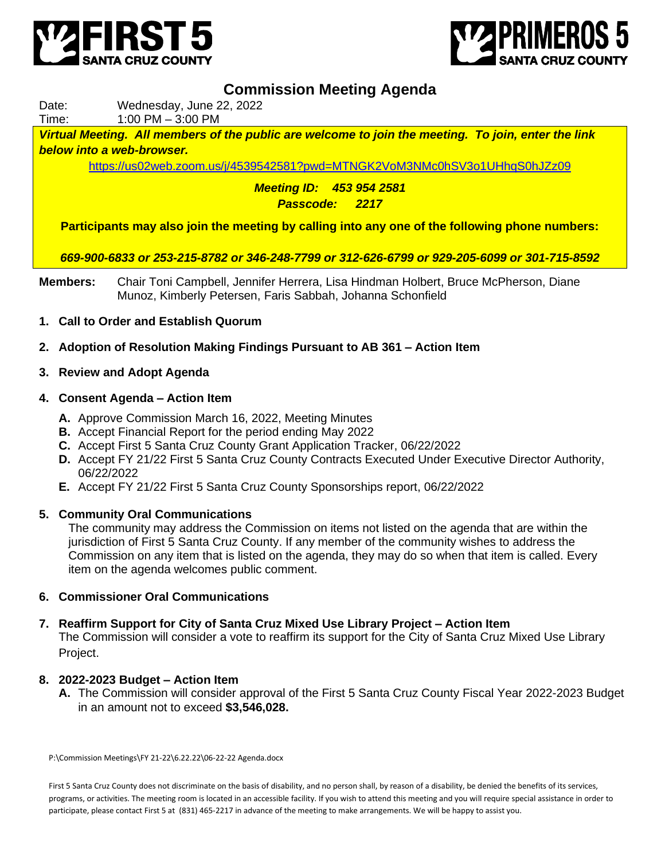



# **Commission Meeting Agenda**

Date: Wednesday, June 22, 2022

Time: 1:00 PM – 3:00 PM

*Virtual Meeting. All members of the public are welcome to join the meeting. To join, enter the link below into a web-browser.*

<https://us02web.zoom.us/j/4539542581?pwd=MTNGK2VoM3NMc0hSV3o1UHhqS0hJZz09>

*Meeting ID: 453 954 2581 Passcode: 2217*

**Participants may also join the meeting by calling into any one of the following phone numbers:**

*669-900-6833 or 253-215-8782 or 346-248-7799 or 312-626-6799 or 929-205-6099 or 301-715-8592*

- **Members:** Chair Toni Campbell, Jennifer Herrera, Lisa Hindman Holbert, Bruce McPherson, Diane Munoz, Kimberly Petersen, Faris Sabbah, Johanna Schonfield
- **1. Call to Order and Establish Quorum**
- **2. Adoption of Resolution Making Findings Pursuant to AB 361 – Action Item**
- **3. Review and Adopt Agenda**

### **4. Consent Agenda – Action Item**

- **A.** Approve Commission March 16, 2022, Meeting Minutes
- **B.** Accept Financial Report for the period ending May 2022
- **C.** Accept First 5 Santa Cruz County Grant Application Tracker, 06/22/2022
- **D.** Accept FY 21/22 First 5 Santa Cruz County Contracts Executed Under Executive Director Authority, 06/22/2022
- **E.** Accept FY 21/22 First 5 Santa Cruz County Sponsorships report, 06/22/2022

### **5. Community Oral Communications**

The community may address the Commission on items not listed on the agenda that are within the jurisdiction of First 5 Santa Cruz County. If any member of the community wishes to address the Commission on any item that is listed on the agenda, they may do so when that item is called. Every item on the agenda welcomes public comment.

### **6. Commissioner Oral Communications**

### **7. Reaffirm Support for City of Santa Cruz Mixed Use Library Project – Action Item**

The Commission will consider a vote to reaffirm its support for the City of Santa Cruz Mixed Use Library Project.

### **8. 2022-2023 Budget – Action Item**

**A.** The Commission will consider approval of the First 5 Santa Cruz County Fiscal Year 2022-2023 Budget in an amount not to exceed **\$3,546,028.**

P:\Commission Meetings\FY 21-22\6.22.22\06-22-22 Agenda.docx

First 5 Santa Cruz County does not discriminate on the basis of disability, and no person shall, by reason of a disability, be denied the benefits of its services, programs, or activities. The meeting room is located in an accessible facility. If you wish to attend this meeting and you will require special assistance in order to participate, please contact First 5 at (831) 465-2217 in advance of the meeting to make arrangements. We will be happy to assist you.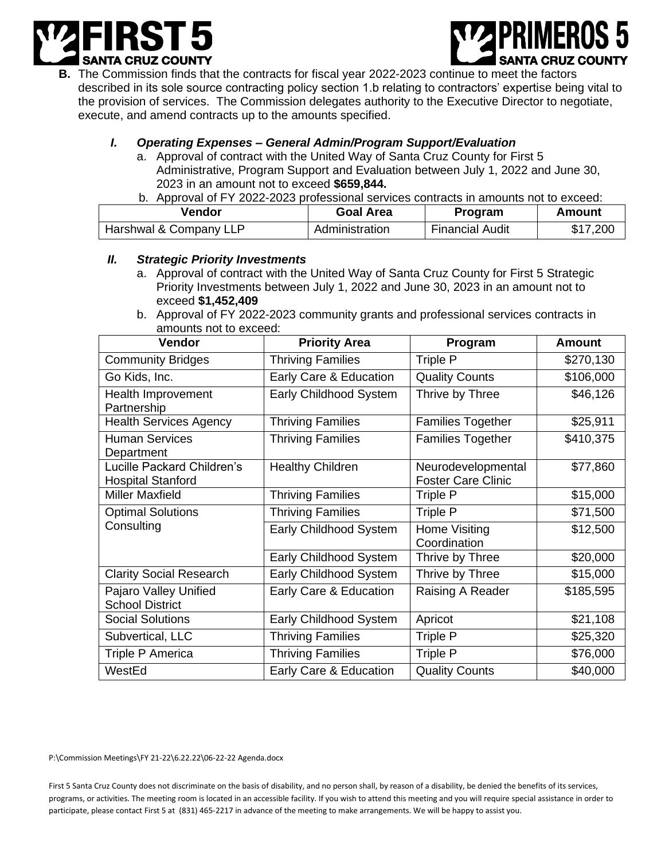



**B.** The Commission finds that the contracts for fiscal year 2022-2023 continue to meet the factors described in its sole source contracting policy section 1.b relating to contractors' expertise being vital to the provision of services. The Commission delegates authority to the Executive Director to negotiate, execute, and amend contracts up to the amounts specified.

# *I. Operating Expenses – General Admin/Program Support/Evaluation*

- a. Approval of contract with the United Way of Santa Cruz County for First 5 Administrative, Program Support and Evaluation between July 1, 2022 and June 30, 2023 in an amount not to exceed **\$659,844.**
- b. Approval of FY 2022-2023 professional services contracts in amounts not to exceed:

| <b>Vendor</b>          | Goal Area      | Program                | Amount   |
|------------------------|----------------|------------------------|----------|
| Harshwal & Company LLP | Administration | <b>Financial Audit</b> | \$17,200 |

### *II. Strategic Priority Investments*

- a. Approval of contract with the United Way of Santa Cruz County for First 5 Strategic Priority Investments between July 1, 2022 and June 30, 2023 in an amount not to exceed **\$1,452,409**
- b. Approval of FY 2022-2023 community grants and professional services contracts in amounts not to exceed:

| <b>Vendor</b>                                          | <b>Priority Area</b>     | Program                                         | Amount    |
|--------------------------------------------------------|--------------------------|-------------------------------------------------|-----------|
| <b>Community Bridges</b>                               | <b>Thriving Families</b> | Triple P                                        | \$270,130 |
| Go Kids, Inc.                                          | Early Care & Education   | <b>Quality Counts</b>                           | \$106,000 |
| Health Improvement<br>Partnership                      | Early Childhood System   | Thrive by Three                                 | \$46,126  |
| <b>Health Services Agency</b>                          | <b>Thriving Families</b> | <b>Families Together</b>                        | \$25,911  |
| <b>Human Services</b><br>Department                    | <b>Thriving Families</b> | <b>Families Together</b>                        | \$410,375 |
| Lucille Packard Children's<br><b>Hospital Stanford</b> | <b>Healthy Children</b>  | Neurodevelopmental<br><b>Foster Care Clinic</b> | \$77,860  |
| <b>Miller Maxfield</b>                                 | <b>Thriving Families</b> | Triple P                                        | \$15,000  |
| <b>Optimal Solutions</b><br>Consulting                 | <b>Thriving Families</b> | Triple P                                        | \$71,500  |
|                                                        | Early Childhood System   | Home Visiting<br>Coordination                   | \$12,500  |
|                                                        | Early Childhood System   | Thrive by Three                                 | \$20,000  |
| <b>Clarity Social Research</b>                         | Early Childhood System   | Thrive by Three                                 | \$15,000  |
| Pajaro Valley Unified<br><b>School District</b>        | Early Care & Education   | Raising A Reader                                | \$185,595 |
| <b>Social Solutions</b>                                | Early Childhood System   | Apricot                                         | \$21,108  |
| Subvertical, LLC                                       | <b>Thriving Families</b> | Triple P                                        | \$25,320  |
| Triple P America                                       | <b>Thriving Families</b> | Triple P                                        | \$76,000  |
| WestEd                                                 | Early Care & Education   | <b>Quality Counts</b>                           | \$40,000  |

P:\Commission Meetings\FY 21-22\6.22.22\06-22-22 Agenda.docx

First 5 Santa Cruz County does not discriminate on the basis of disability, and no person shall, by reason of a disability, be denied the benefits of its services, programs, or activities. The meeting room is located in an accessible facility. If you wish to attend this meeting and you will require special assistance in order to participate, please contact First 5 at (831) 465-2217 in advance of the meeting to make arrangements. We will be happy to assist you.